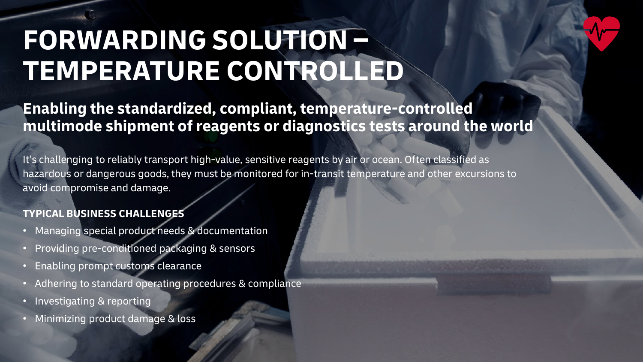# **FORWARDING SOLUTION – TEMPERATURE CONTROLLED**

## **Enabling the standardized, compliant, temperature-controlled multimode shipment of reagents or diagnostics tests around the world**

It's challenging to reliably transport high-value, sensitive reagents by air or ocean. Often classified as hazardous or dangerous goods, they must be monitored for in-transit temperature and other excursions to avoid compromise and damage.

## **TYPICAL BUSINESS CHALLENGES**

- Managing special product needs & documentation
- Providing pre-conditioned packaging & sensors
- Enabling prompt customs clearance
- Adhering to standard operating procedures & compliance
- Investigating & reporting
- Minimizing product damage & loss